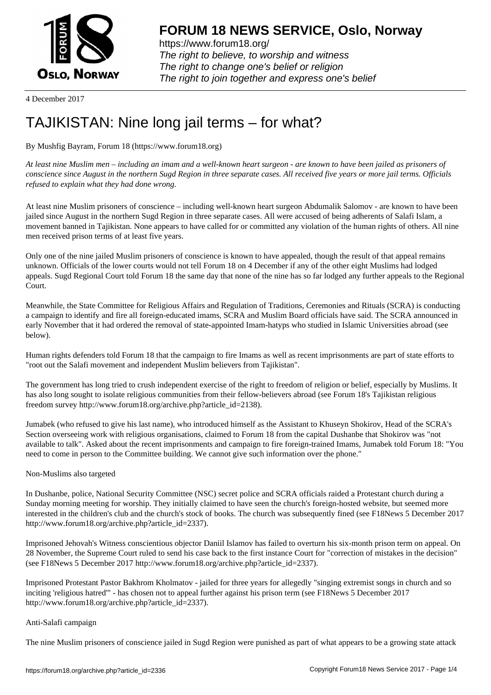

https://www.forum18.org/ The right to believe, to worship and witness The right to change one's belief or religion [The right to join together a](https://www.forum18.org/)nd express one's belief

4 December 2017

# [TAJIKISTAN: N](https://www.forum18.org)ine long jail terms – for what?

## By Mushfig Bayram, Forum 18 (https://www.forum18.org)

*At least nine Muslim men – including an imam and a well-known heart surgeon - are known to have been jailed as prisoners of conscience since August in the northern Sugd Region in three separate cases. All received five years or more jail terms. Officials refused to explain what they had done wrong.*

At least nine Muslim prisoners of conscience – including well-known heart surgeon Abdumalik Salomov - are known to have been jailed since August in the northern Sugd Region in three separate cases. All were accused of being adherents of Salafi Islam, a movement banned in Tajikistan. None appears to have called for or committed any violation of the human rights of others. All nine men received prison terms of at least five years.

Only one of the nine jailed Muslim prisoners of conscience is known to have appealed, though the result of that appeal remains unknown. Officials of the lower courts would not tell Forum 18 on 4 December if any of the other eight Muslims had lodged appeals. Sugd Regional Court told Forum 18 the same day that none of the nine has so far lodged any further appeals to the Regional Court.

Meanwhile, the State Committee for Religious Affairs and Regulation of Traditions, Ceremonies and Rituals (SCRA) is conducting a campaign to identify and fire all foreign-educated imams, SCRA and Muslim Board officials have said. The SCRA announced in early November that it had ordered the removal of state-appointed Imam-hatyps who studied in Islamic Universities abroad (see below).

Human rights defenders told Forum 18 that the campaign to fire Imams as well as recent imprisonments are part of state efforts to "root out the Salafi movement and independent Muslim believers from Tajikistan".

The government has long tried to crush independent exercise of the right to freedom of religion or belief, especially by Muslims. It has also long sought to isolate religious communities from their fellow-believers abroad (see Forum 18's Tajikistan religious freedom survey http://www.forum18.org/archive.php?article\_id=2138).

Jumabek (who refused to give his last name), who introduced himself as the Assistant to Khuseyn Shokirov, Head of the SCRA's Section overseeing work with religious organisations, claimed to Forum 18 from the capital Dushanbe that Shokirov was "not available to talk". Asked about the recent imprisonments and campaign to fire foreign-trained Imams, Jumabek told Forum 18: "You need to come in person to the Committee building. We cannot give such information over the phone."

### Non-Muslims also targeted

In Dushanbe, police, National Security Committee (NSC) secret police and SCRA officials raided a Protestant church during a Sunday morning meeting for worship. They initially claimed to have seen the church's foreign-hosted website, but seemed more interested in the children's club and the church's stock of books. The church was subsequently fined (see F18News 5 December 2017 http://www.forum18.org/archive.php?article\_id=2337).

Imprisoned Jehovah's Witness conscientious objector Daniil Islamov has failed to overturn his six-month prison term on appeal. On 28 November, the Supreme Court ruled to send his case back to the first instance Court for "correction of mistakes in the decision" (see F18News 5 December 2017 http://www.forum18.org/archive.php?article\_id=2337).

Imprisoned Protestant Pastor Bakhrom Kholmatov - jailed for three years for allegedly "singing extremist songs in church and so inciting 'religious hatred'" - has chosen not to appeal further against his prison term (see F18News 5 December 2017 http://www.forum18.org/archive.php?article\_id=2337).

### Anti-Salafi campaign

The nine Muslim prisoners of conscience jailed in Sugd Region were punished as part of what appears to be a growing state attack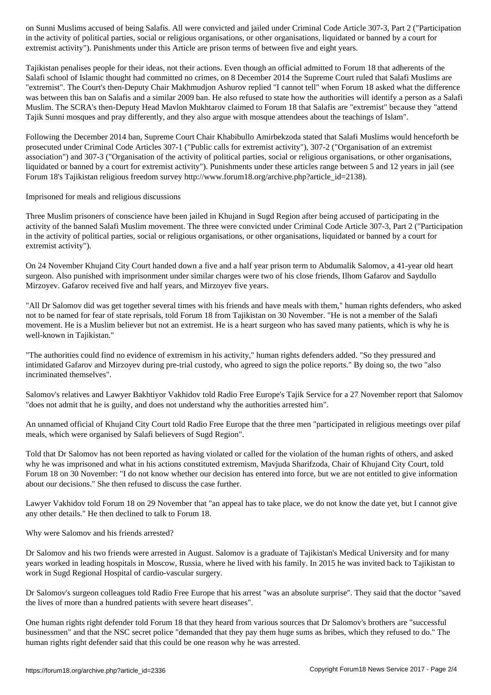in the activity of political parties, social or religious organisations, or other organisations, liquidated or banned by a court for extremist activity"). Punishments under this Article are prison terms of between five and eight years.

Tajikistan penalises people for their ideas, not their actions. Even though an official admitted to Forum 18 that adherents of the Salafi school of Islamic thought had committed no crimes, on 8 December 2014 the Supreme Court ruled that Salafi Muslims are "extremist". The Court's then-Deputy Chair Makhmudjon Ashurov replied "I cannot tell" when Forum 18 asked what the difference was between this ban on Salafis and a similar 2009 ban. He also refused to state how the authorities will identify a person as a Salafi Muslim. The SCRA's then-Deputy Head Mavlon Mukhtarov claimed to Forum 18 that Salafis are "extremist" because they "attend Tajik Sunni mosques and pray differently, and they also argue with mosque attendees about the teachings of Islam".

Following the December 2014 ban, Supreme Court Chair Khabibullo Amirbekzoda stated that Salafi Muslims would henceforth be prosecuted under Criminal Code Articles 307-1 ("Public calls for extremist activity"), 307-2 ("Organisation of an extremist association") and 307-3 ("Organisation of the activity of political parties, social or religious organisations, or other organisations, liquidated or banned by a court for extremist activity"). Punishments under these articles range between 5 and 12 years in jail (see Forum 18's Tajikistan religious freedom survey http://www.forum18.org/archive.php?article\_id=2138).

Imprisoned for meals and religious discussions

Three Muslim prisoners of conscience have been jailed in Khujand in Sugd Region after being accused of participating in the activity of the banned Salafi Muslim movement. The three were convicted under Criminal Code Article 307-3, Part 2 ("Participation in the activity of political parties, social or religious organisations, or other organisations, liquidated or banned by a court for extremist activity").

On 24 November Khujand City Court handed down a five and a half year prison term to Abdumalik Salomov, a 41-year old heart surgeon. Also punished with imprisonment under similar charges were two of his close friends, Ilhom Gafarov and Saydullo Mirzoyev. Gafarov received five and half years, and Mirzoyev five years.

"All Dr Salomov did was get together several times with his friends and have meals with them," human rights defenders, who asked not to be named for fear of state reprisals, told Forum 18 from Tajikistan on 30 November. "He is not a member of the Salafi movement. He is a Muslim believer but not an extremist. He is a heart surgeon who has saved many patients, which is why he is well-known in Tajikistan."

"The authorities could find no evidence of extremism in his activity," human rights defenders added. "So they pressured and intimidated Gafarov and Mirzoyev during pre-trial custody, who agreed to sign the police reports." By doing so, the two "also incriminated themselves".

Salomov's relatives and Lawyer Bakhtiyor Vakhidov told Radio Free Europe's Tajik Service for a 27 November report that Salomov "does not admit that he is guilty, and does not understand why the authorities arrested him".

An unnamed official of Khujand City Court told Radio Free Europe that the three men "participated in religious meetings over pilaf meals, which were organised by Salafi believers of Sugd Region".

Told that Dr Salomov has not been reported as having violated or called for the violation of the human rights of others, and asked why he was imprisoned and what in his actions constituted extremism, Mavjuda Sharifzoda, Chair of Khujand City Court, told Forum 18 on 30 November: "I do not know whether our decision has entered into force, but we are not entitled to give information about our decisions." She then refused to discuss the case further.

Lawyer Vakhidov told Forum 18 on 29 November that "an appeal has to take place, we do not know the date yet, but I cannot give any other details." He then declined to talk to Forum 18.

Why were Salomov and his friends arrested?

Dr Salomov and his two friends were arrested in August. Salomov is a graduate of Tajikistan's Medical University and for many years worked in leading hospitals in Moscow, Russia, where he lived with his family. In 2015 he was invited back to Tajikistan to work in Sugd Regional Hospital of cardio-vascular surgery.

Dr Salomov's surgeon colleagues told Radio Free Europe that his arrest "was an absolute surprise". They said that the doctor "saved the lives of more than a hundred patients with severe heart diseases".

One human rights right defender told Forum 18 that they heard from various sources that Dr Salomov's brothers are "successful businessmen" and that the NSC secret police "demanded that they pay them huge sums as bribes, which they refused to do." The human rights right defender said that this could be one reason why he was arrested.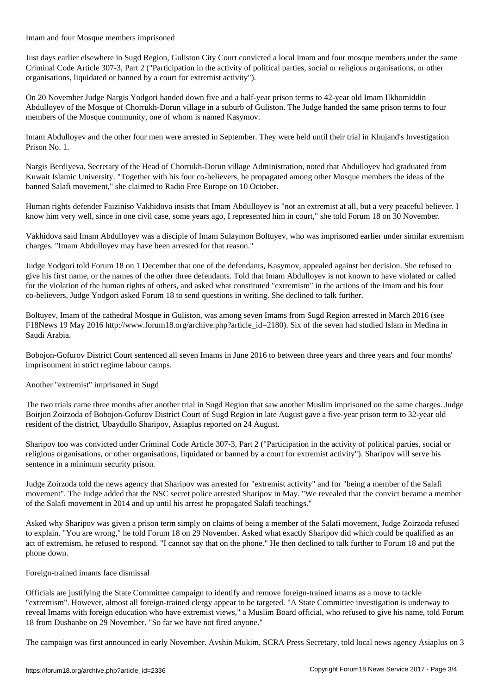Imam and four Mosque members imprisoned Just days earlier elsewhere in Sugd Region, Guliston City Court convicted a local imam and four mosque members under the same Criminal Code Article 307-3, Part 2 ("Participation in the activity of political parties, social or religious organisations, or other

On 20 November Judge Nargis Yodgori handed down five and a half-year prison terms to 42-year old Imam Ilkhomiddin Abdulloyev of the Mosque of Chorrukh-Dorun village in a suburb of Guliston. The Judge handed the same prison terms to four members of the Mosque community, one of whom is named Kasymov.

organisations, liquidated or banned by a court for extremist activity").

Imam Abdulloyev and the other four men were arrested in September. They were held until their trial in Khujand's Investigation Prison No. 1.

Nargis Berdiyeva, Secretary of the Head of Chorrukh-Dorun village Administration, noted that Abdulloyev had graduated from Kuwait Islamic University. "Together with his four co-believers, he propagated among other Mosque members the ideas of the banned Salafi movement," she claimed to Radio Free Europe on 10 October.

Human rights defender Faiziniso Vakhidova insists that Imam Abdulloyev is "not an extremist at all, but a very peaceful believer. I know him very well, since in one civil case, some years ago, I represented him in court," she told Forum 18 on 30 November.

Vakhidova said Imam Abdulloyev was a disciple of Imam Sulaymon Boltuyev, who was imprisoned earlier under similar extremism charges. "Imam Abdulloyev may have been arrested for that reason."

Judge Yodgori told Forum 18 on 1 December that one of the defendants, Kasymov, appealed against her decision. She refused to give his first name, or the names of the other three defendants. Told that Imam Abdulloyev is not known to have violated or called for the violation of the human rights of others, and asked what constituted "extremism" in the actions of the Imam and his four co-believers, Judge Yodgori asked Forum 18 to send questions in writing. She declined to talk further.

Boltuyev, Imam of the cathedral Mosque in Guliston, was among seven Imams from Sugd Region arrested in March 2016 (see F18News 19 May 2016 http://www.forum18.org/archive.php?article\_id=2180). Six of the seven had studied Islam in Medina in Saudi Arabia.

Bobojon-Gofurov District Court sentenced all seven Imams in June 2016 to between three years and three years and four months' imprisonment in strict regime labour camps.

Another "extremist" imprisoned in Sugd

The two trials came three months after another trial in Sugd Region that saw another Muslim imprisoned on the same charges. Judge Boirjon Zoirzoda of Bobojon-Gofurov District Court of Sugd Region in late August gave a five-year prison term to 32-year old resident of the district, Ubaydullo Sharipov, Asiaplus reported on 24 August.

Sharipov too was convicted under Criminal Code Article 307-3, Part 2 ("Participation in the activity of political parties, social or religious organisations, or other organisations, liquidated or banned by a court for extremist activity"). Sharipov will serve his sentence in a minimum security prison.

Judge Zoirzoda told the news agency that Sharipov was arrested for "extremist activity" and for "being a member of the Salafi movement". The Judge added that the NSC secret police arrested Sharipov in May. "We revealed that the convict became a member of the Salafi movement in 2014 and up until his arrest he propagated Salafi teachings."

Asked why Sharipov was given a prison term simply on claims of being a member of the Salafi movement, Judge Zoirzoda refused to explain. "You are wrong," he told Forum 18 on 29 November. Asked what exactly Sharipov did which could be qualified as an act of extremism, he refused to respond. "I cannot say that on the phone." He then declined to talk further to Forum 18 and put the phone down.

### Foreign-trained imams face dismissal

Officials are justifying the State Committee campaign to identify and remove foreign-trained imams as a move to tackle "extremism". However, almost all foreign-trained clergy appear to be targeted. "A State Committee investigation is underway to reveal Imams with foreign education who have extremist views," a Muslim Board official, who refused to give his name, told Forum 18 from Dushanbe on 29 November. "So far we have not fired anyone."

The campaign was first announced in early November. Avshin Mukim, SCRA Press Secretary, told local news agency Asiaplus on 3